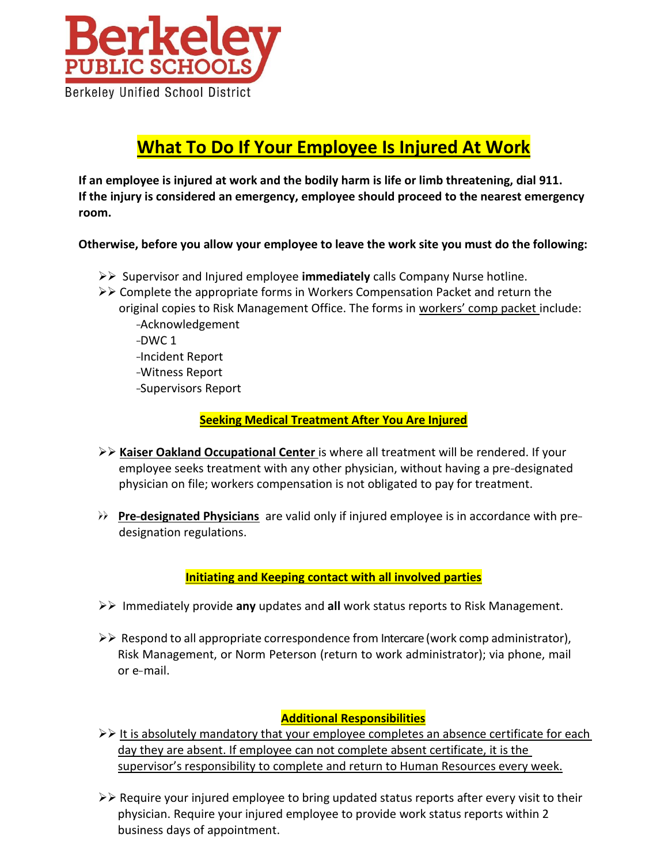

# **What To Do If Your Employee Is Injured At Work**

**If an employee is injured at work and the bodily harm is life or limb threatening, dial 911. If the injury is considered an emergency, employee should proceed to the nearest emergency room.**

**Otherwise, before you allow your employee to leave the work site you must do the following:**

- ➢➢ Supervisor and Injured employee **immediately** calls Company Nurse hotline.
- ➢➢ Complete the appropriate forms in Workers Compensation Packet and return the original copies to Risk Management Office. The forms in workers' comp packet include: -Acknowledgement -DWC 1 -Incident Report -Witness Report -Supervisors Report

**Seeking Medical Treatment After You Are Injured**

- ➢➢ **Kaiser Oakland Occupational Center** is where all treatment will be rendered. If your employee seeks treatment with any other physician, without having a pre-designated physician on file; workers compensation is not obligated to pay for treatment.
- ➢➢ **Pre-designated Physicians** are valid only if injured employee is in accordance with pre designation regulations.

## **Initiating and Keeping contact with all involved parties**

- ➢➢ Immediately provide **any** updates and **all** work status reports to Risk Management.
- $>$  Respond to all appropriate correspondence from Intercare (work comp administrator), Risk Management, or Norm Peterson (return to work administrator); via phone, mail or e- mail.

## **Additional Responsibilities**

- ➢➢ It is absolutely mandatory that your employee completes an absence certificate for each day they are absent. If employee can not complete absent certificate, it is the supervisor's responsibility to complete and return to Human Resources every week.
- $>$  Require your injured employee to bring updated status reports after every visit to their physician. Require your injured employee to provide work status reports within 2 business days of appointment.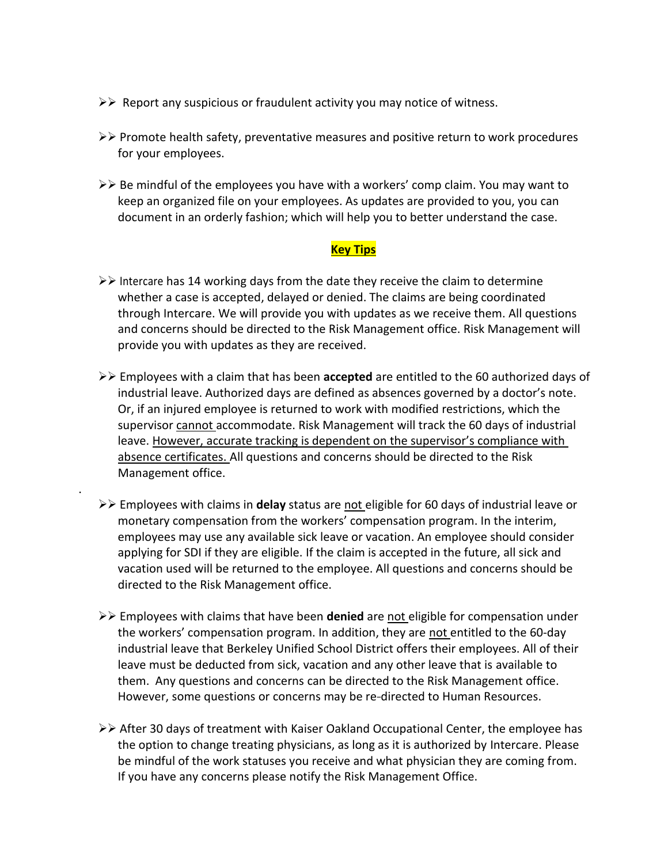- $\triangleright\triangleright$  Report any suspicious or fraudulent activity you may notice of witness.
- ➢➢ Promote health safety, preventative measures and positive return to work procedures for your employees.
- ➢➢ Be mindful of the employees you have with a workers' comp claim. You may want to keep an organized file on your employees. As updates are provided to you, you can document in an orderly fashion; which will help you to better understand the case.

#### **Key Tips**

- $>$  Intercare has 14 working days from the date they receive the claim to determine whether a case is accepted, delayed or denied. The claims are being coordinated through Intercare. We will provide you with updates as we receive them. All questions and concerns should be directed to the Risk Management office. Risk Management will provide you with updates as they are received.
- ➢➢ Employees with a claim that has been **accepted** are entitled to the 60 authorized days of industrial leave. Authorized days are defined as absences governed by a doctor's note. Or, if an injured employee is returned to work with modified restrictions, which the supervisor cannot accommodate. Risk Management will track the 60 days of industrial leave. However, accurate tracking is dependent on the supervisor's compliance with absence certificates. All questions and concerns should be directed to the Risk Management office.
- ➢➢ Employees with claims in **delay** status are not eligible for 60 days of industrial leave or monetary compensation from the workers' compensation program. In the interim, employees may use any available sick leave or vacation. An employee should consider applying for SDI if they are eligible. If the claim is accepted in the future, all sick and vacation used will be returned to the employee. All questions and concerns should be directed to the Risk Management office.

.

- ➢➢ Employees with claims that have been **denied** are not eligible for compensation under the workers' compensation program. In addition, they are not entitled to the 60-day industrial leave that Berkeley Unified School District offers their employees. All of their leave must be deducted from sick, vacation and any other leave that is available to them. Any questions and concerns can be directed to the Risk Management office. However, some questions or concerns may be re-directed to Human Resources.
- ➢➢ After 30 days of treatment with Kaiser Oakland Occupational Center, the employee has the option to change treating physicians, as long as it is authorized by Intercare. Please be mindful of the work statuses you receive and what physician they are coming from. If you have any concerns please notify the Risk Management Office.